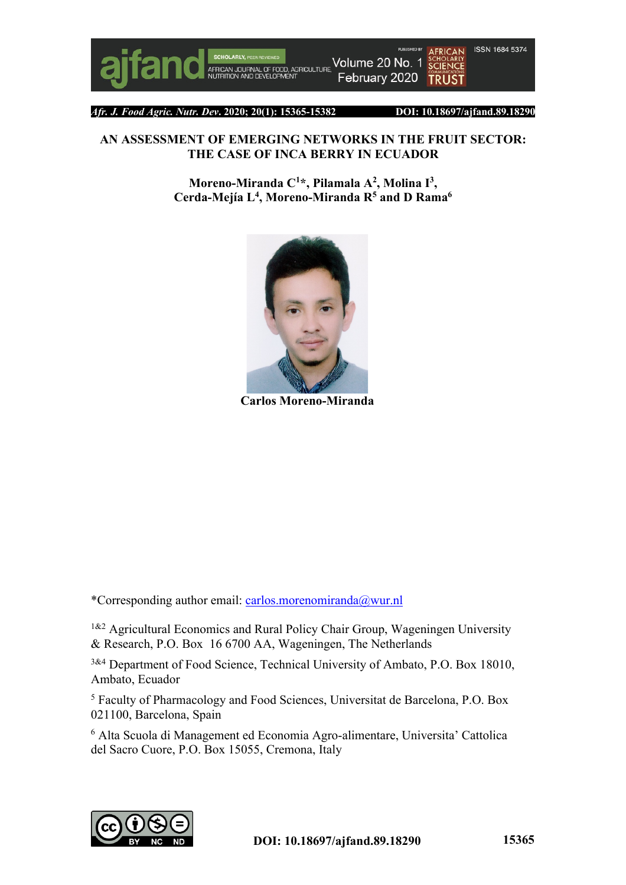

Volume 20 No. 1 **FOOD, AGRICULTURE** February 2020



*Afr. J. Food Agric. Nutr. Dev***. 2020; 20(1): 15365-15382 DOI: 10.18697/ajfand.89.18290**

### **AN ASSESSMENT OF EMERGING NETWORKS IN THE FRUIT SECTOR: THE CASE OF INCA BERRY IN ECUADOR**

**Moreno-Miranda C1 \*, Pilamala A2 , Molina I3 , Cerda-Mejía L4 , Moreno-Miranda R5 and D Rama6**



**Carlos Moreno-Miranda**

\*Corresponding author email: carlos.morenomiranda@wur.nl

<sup>1&2</sup> Agricultural Economics and Rural Policy Chair Group, Wageningen University & Research, P.O. Box 16 6700 AA, Wageningen, The Netherlands

3&4 Department of Food Science, Technical University of Ambato, P.O. Box 18010, Ambato, Ecuador

<sup>5</sup> Faculty of Pharmacology and Food Sciences, Universitat de Barcelona, P.O. Box 021100, Barcelona, Spain

<sup>6</sup> Alta Scuola di Management ed Economia Agro-alimentare, Universita' Cattolica del Sacro Cuore, P.O. Box 15055, Cremona, Italy

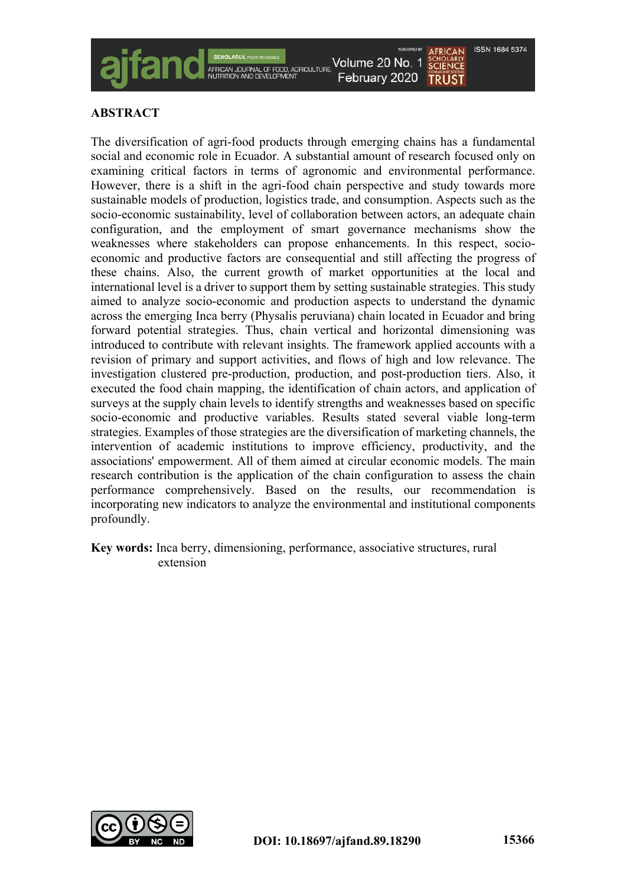

# **ABSTRACT**

The diversification of agri-food products through emerging chains has a fundamental social and economic role in Ecuador. A substantial amount of research focused only on examining critical factors in terms of agronomic and environmental performance. However, there is a shift in the agri-food chain perspective and study towards more sustainable models of production, logistics trade, and consumption. Aspects such as the socio-economic sustainability, level of collaboration between actors, an adequate chain configuration, and the employment of smart governance mechanisms show the weaknesses where stakeholders can propose enhancements. In this respect, socioeconomic and productive factors are consequential and still affecting the progress of these chains. Also, the current growth of market opportunities at the local and international level is a driver to support them by setting sustainable strategies. This study aimed to analyze socio-economic and production aspects to understand the dynamic across the emerging Inca berry (Physalis peruviana) chain located in Ecuador and bring forward potential strategies. Thus, chain vertical and horizontal dimensioning was introduced to contribute with relevant insights. The framework applied accounts with a revision of primary and support activities, and flows of high and low relevance. The investigation clustered pre-production, production, and post-production tiers. Also, it executed the food chain mapping, the identification of chain actors, and application of surveys at the supply chain levels to identify strengths and weaknesses based on specific socio-economic and productive variables. Results stated several viable long-term strategies. Examples of those strategies are the diversification of marketing channels, the intervention of academic institutions to improve efficiency, productivity, and the associations' empowerment. All of them aimed at circular economic models. The main research contribution is the application of the chain configuration to assess the chain performance comprehensively. Based on the results, our recommendation is incorporating new indicators to analyze the environmental and institutional components profoundly.

**Key words:** Inca berry, dimensioning, performance, associative structures, rural extension

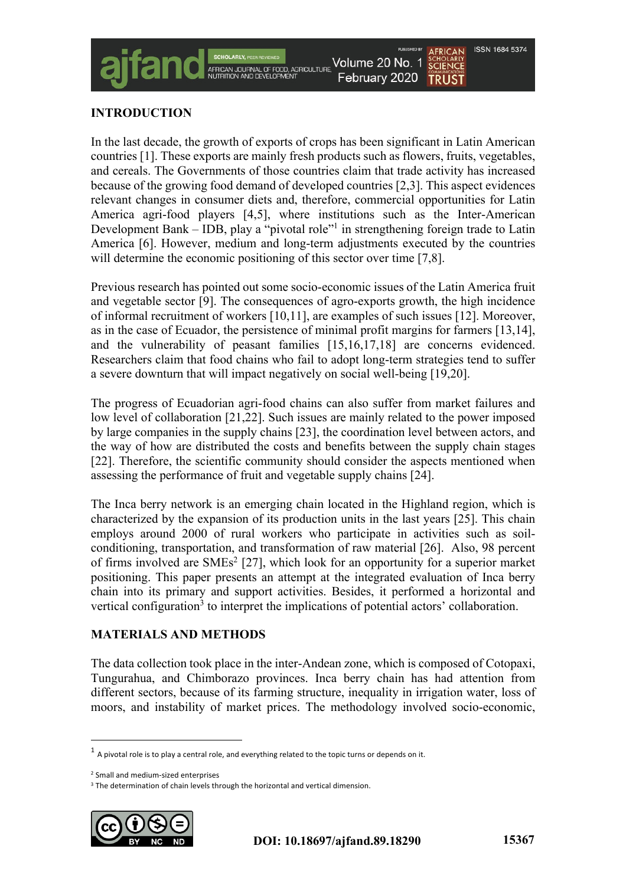

## **INTRODUCTION**

In the last decade, the growth of exports of crops has been significant in Latin American countries [1]. These exports are mainly fresh products such as flowers, fruits, vegetables, and cereals. The Governments of those countries claim that trade activity has increased because of the growing food demand of developed countries [2,3]. This aspect evidences relevant changes in consumer diets and, therefore, commercial opportunities for Latin America agri-food players [4,5], where institutions such as the Inter-American Development Bank – IDB, play a "pivotal role"<sup>1</sup> in strengthening foreign trade to Latin America [6]. However, medium and long-term adjustments executed by the countries will determine the economic positioning of this sector over time [7,8].

Previous research has pointed out some socio-economic issues of the Latin America fruit and vegetable sector [9]. The consequences of agro-exports growth, the high incidence of informal recruitment of workers [10,11], are examples of such issues [12]. Moreover, as in the case of Ecuador, the persistence of minimal profit margins for farmers [13,14], and the vulnerability of peasant families [15,16,17,18] are concerns evidenced. Researchers claim that food chains who fail to adopt long-term strategies tend to suffer a severe downturn that will impact negatively on social well-being [19,20].

The progress of Ecuadorian agri-food chains can also suffer from market failures and low level of collaboration [21,22]. Such issues are mainly related to the power imposed by large companies in the supply chains [23], the coordination level between actors, and the way of how are distributed the costs and benefits between the supply chain stages [22]. Therefore, the scientific community should consider the aspects mentioned when assessing the performance of fruit and vegetable supply chains [24].

The Inca berry network is an emerging chain located in the Highland region, which is characterized by the expansion of its production units in the last years [25]. This chain employs around 2000 of rural workers who participate in activities such as soilconditioning, transportation, and transformation of raw material [26]. Also, 98 percent of firms involved are  $SMEs<sup>2</sup>$  [27], which look for an opportunity for a superior market positioning. This paper presents an attempt at the integrated evaluation of Inca berry chain into its primary and support activities. Besides, it performed a horizontal and vertical configuration<sup>3</sup> to interpret the implications of potential actors' collaboration.

## **MATERIALS AND METHODS**

The data collection took place in the inter-Andean zone, which is composed of Cotopaxi, Tungurahua, and Chimborazo provinces. Inca berry chain has had attention from different sectors, because of its farming structure, inequality in irrigation water, loss of moors, and instability of market prices. The methodology involved socio-economic,

<sup>&</sup>lt;sup>3</sup> The determination of chain levels through the horizontal and vertical dimension.



 $1$  A pivotal role is to play a central role, and everything related to the topic turns or depends on it.

<sup>2</sup> Small and medium-sized enterprises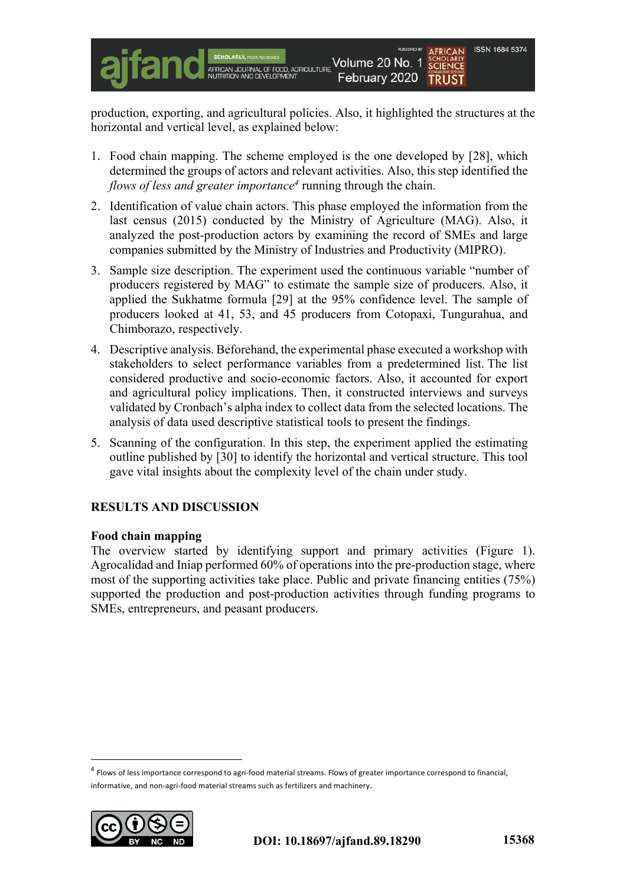production, exporting, and agricultural policies. Also, it highlighted the structures at the horizontal and vertical level, as explained below:

- 1. Food chain mapping. The scheme employed is the one developed by [28], which determined the groups of actors and relevant activities. Also, this step identified the *flows of less and greater importance4* running through the chain.
- 2. Identification of value chain actors. This phase employed the information from the last census (2015) conducted by the Ministry of Agriculture (MAG). Also, it analyzed the post-production actors by examining the record of SMEs and large companies submitted by the Ministry of Industries and Productivity (MIPRO).
- 3. Sample size description. The experiment used the continuous variable "number of producers registered by MAG" to estimate the sample size of producers. Also, it applied the Sukhatme formula [29] at the 95% confidence level. The sample of producers looked at 41, 53, and 45 producers from Cotopaxi, Tungurahua, and Chimborazo, respectively.
- 4. Descriptive analysis. Beforehand, the experimental phase executed a workshop with stakeholders to select performance variables from a predetermined list. The list considered productive and socio-economic factors. Also, it accounted for export and agricultural policy implications. Then, it constructed interviews and surveys validated by Cronbach's alpha index to collect data from the selected locations. The analysis of data used descriptive statistical tools to present the findings.
- 5. Scanning of the configuration. In this step, the experiment applied the estimating outline published by [30] to identify the horizontal and vertical structure. This tool gave vital insights about the complexity level of the chain under study.

## **RESULTS AND DISCUSSION**

### **Food chain mapping**

The overview started by identifying support and primary activities (Figure 1). Agrocalidad and Iniap performed 60% of operations into the pre-production stage, where most of the supporting activities take place. Public and private financing entities (75%) supported the production and post-production activities through funding programs to SMEs, entrepreneurs, and peasant producers.

<sup>&</sup>lt;sup>4</sup> Flows of less importance correspond to agri-food material streams. Flows of greater importance correspond to financial, informative, and non-agri-food material streams such as fertilizers and machinery.

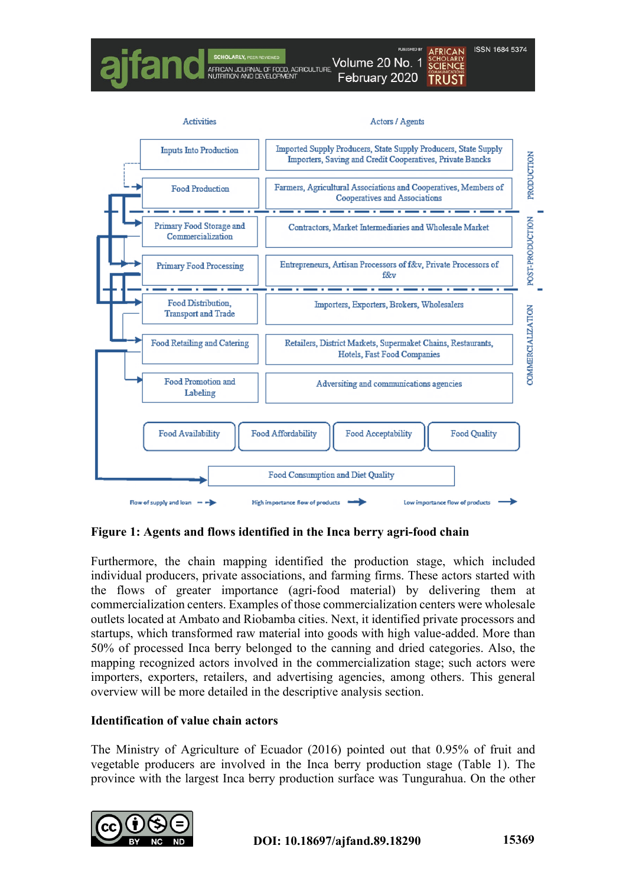

**Figure 1: Agents and flows identified in the Inca berry agri-food chain**

Furthermore, the chain mapping identified the production stage, which included individual producers, private associations, and farming firms. These actors started with the flows of greater importance (agri-food material) by delivering them at commercialization centers. Examples of those commercialization centers were wholesale outlets located at Ambato and Riobamba cities. Next, it identified private processors and startups, which transformed raw material into goods with high value-added. More than 50% of processed Inca berry belonged to the canning and dried categories. Also, the mapping recognized actors involved in the commercialization stage; such actors were importers, exporters, retailers, and advertising agencies, among others. This general overview will be more detailed in the descriptive analysis section.

### **Identification of value chain actors**

The Ministry of Agriculture of Ecuador (2016) pointed out that 0.95% of fruit and vegetable producers are involved in the Inca berry production stage (Table 1). The province with the largest Inca berry production surface was Tungurahua. On the other

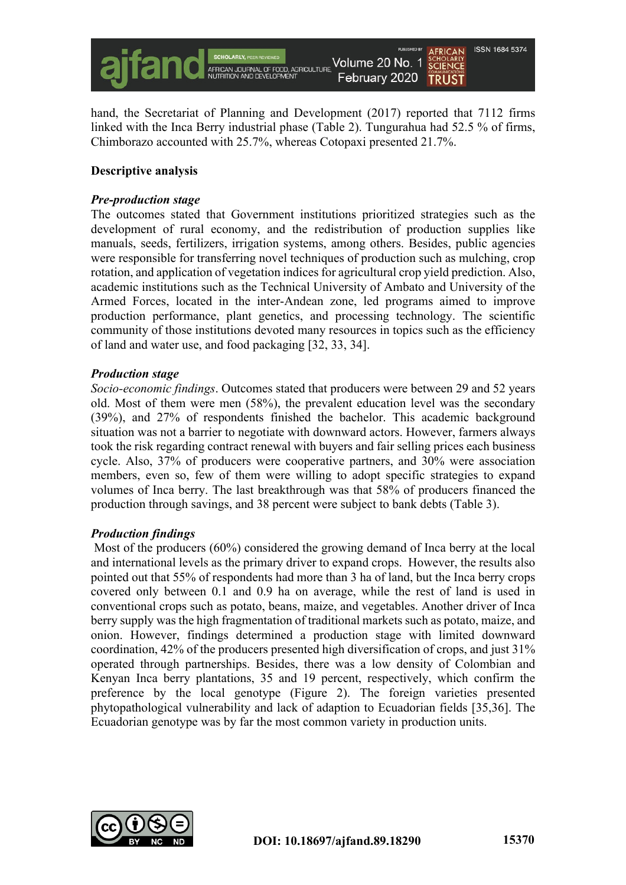

hand, the Secretariat of Planning and Development (2017) reported that 7112 firms linked with the Inca Berry industrial phase (Table 2). Tungurahua had 52.5 % of firms, Chimborazo accounted with 25.7%, whereas Cotopaxi presented 21.7%.

### **Descriptive analysis**

#### *Pre-production stage*

The outcomes stated that Government institutions prioritized strategies such as the development of rural economy, and the redistribution of production supplies like manuals, seeds, fertilizers, irrigation systems, among others. Besides, public agencies were responsible for transferring novel techniques of production such as mulching, crop rotation, and application of vegetation indices for agricultural crop yield prediction. Also, academic institutions such as the Technical University of Ambato and University of the Armed Forces, located in the inter-Andean zone, led programs aimed to improve production performance, plant genetics, and processing technology. The scientific community of those institutions devoted many resources in topics such as the efficiency of land and water use, and food packaging [32, 33, 34].

#### *Production stage*

*Socio-economic findings*. Outcomes stated that producers were between 29 and 52 years old. Most of them were men (58%), the prevalent education level was the secondary (39%), and 27% of respondents finished the bachelor. This academic background situation was not a barrier to negotiate with downward actors. However, farmers always took the risk regarding contract renewal with buyers and fair selling prices each business cycle. Also, 37% of producers were cooperative partners, and 30% were association members, even so, few of them were willing to adopt specific strategies to expand volumes of Inca berry. The last breakthrough was that 58% of producers financed the production through savings, and 38 percent were subject to bank debts (Table 3).

### *Production findings*

Most of the producers (60%) considered the growing demand of Inca berry at the local and international levels as the primary driver to expand crops. However, the results also pointed out that 55% of respondents had more than 3 ha of land, but the Inca berry crops covered only between 0.1 and 0.9 ha on average, while the rest of land is used in conventional crops such as potato, beans, maize, and vegetables. Another driver of Inca berry supply was the high fragmentation of traditional markets such as potato, maize, and onion. However, findings determined a production stage with limited downward coordination, 42% of the producers presented high diversification of crops, and just 31% operated through partnerships. Besides, there was a low density of Colombian and Kenyan Inca berry plantations, 35 and 19 percent, respectively, which confirm the preference by the local genotype (Figure 2). The foreign varieties presented phytopathological vulnerability and lack of adaption to Ecuadorian fields [35,36]. The Ecuadorian genotype was by far the most common variety in production units.

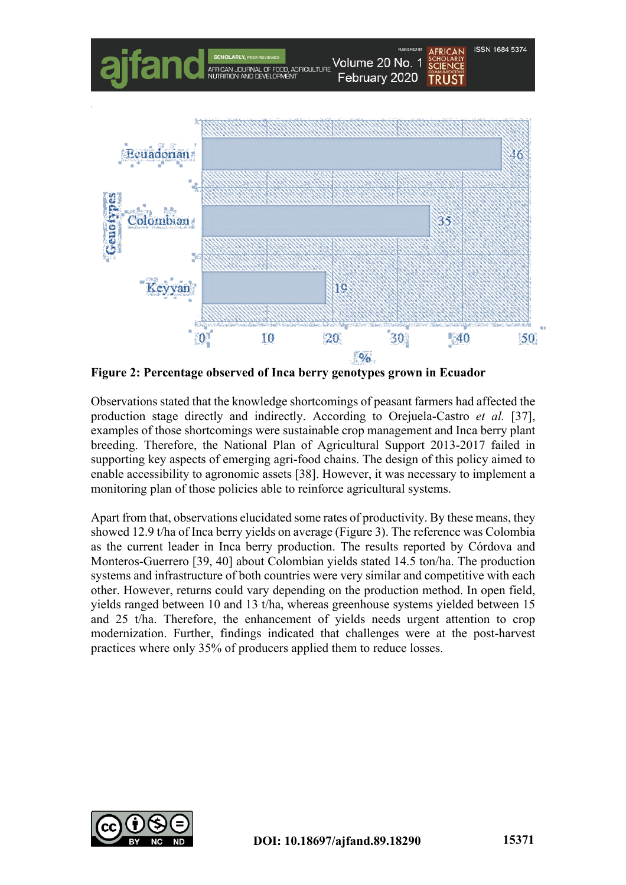

**Figure 2: Percentage observed of Inca berry genotypes grown in Ecuador**

Observations stated that the knowledge shortcomings of peasant farmers had affected the production stage directly and indirectly. According to Orejuela-Castro *et al.* [37], examples of those shortcomings were sustainable crop management and Inca berry plant breeding. Therefore, the National Plan of Agricultural Support 2013-2017 failed in supporting key aspects of emerging agri-food chains. The design of this policy aimed to enable accessibility to agronomic assets [38]. However, it was necessary to implement a monitoring plan of those policies able to reinforce agricultural systems.

Apart from that, observations elucidated some rates of productivity. By these means, they showed 12.9 t/ha of Inca berry yields on average (Figure 3). The reference was Colombia as the current leader in Inca berry production. The results reported by Córdova and Monteros-Guerrero [39, 40] about Colombian yields stated 14.5 ton/ha. The production systems and infrastructure of both countries were very similar and competitive with each other. However, returns could vary depending on the production method. In open field, yields ranged between 10 and 13 t/ha, whereas greenhouse systems yielded between 15 and 25 t/ha. Therefore, the enhancement of yields needs urgent attention to crop modernization. Further, findings indicated that challenges were at the post-harvest practices where only 35% of producers applied them to reduce losses.

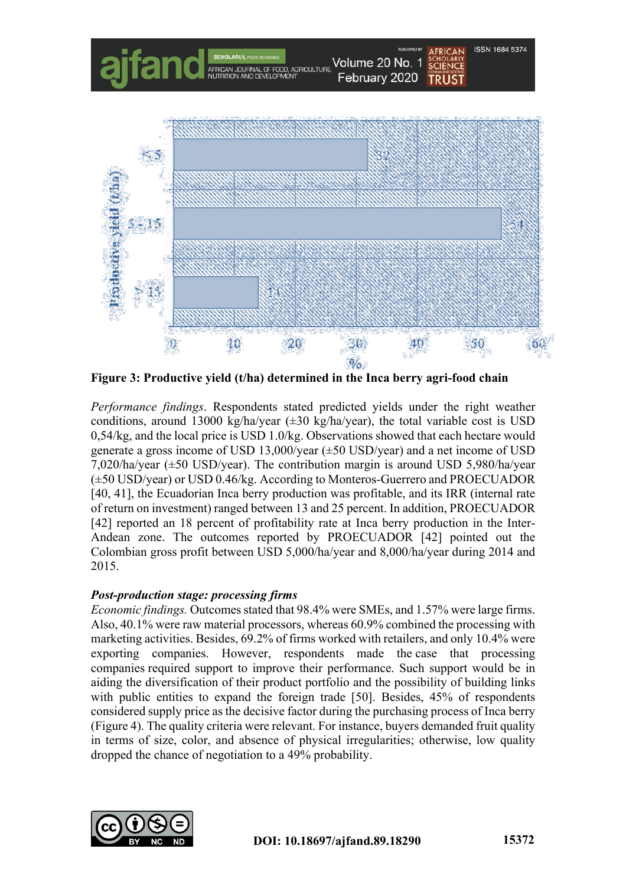

**Figure 3: Productive yield (t/ha) determined in the Inca berry agri-food chain**

*Performance findings*. Respondents stated predicted yields under the right weather conditions, around 13000 kg/ha/year  $(\pm 30 \text{ kg/ha/year})$ , the total variable cost is USD 0,54/kg, and the local price is USD 1.0/kg. Observations showed that each hectare would generate a gross income of USD 13,000/year (±50 USD/year) and a net income of USD 7,020/ha/year (±50 USD/year). The contribution margin is around USD 5,980/ha/year (±50 USD/year) or USD 0.46/kg. According to Monteros-Guerrero and PROECUADOR [40, 41], the Ecuadorian Inca berry production was profitable, and its IRR (internal rate of return on investment) ranged between 13 and 25 percent. In addition, PROECUADOR [42] reported an 18 percent of profitability rate at Inca berry production in the Inter-Andean zone. The outcomes reported by PROECUADOR [42] pointed out the Colombian gross profit between USD 5,000/ha/year and 8,000/ha/year during 2014 and 2015.

### *Post-production stage: processing firms*

*Economic findings.* Outcomes stated that 98.4% were SMEs, and 1.57% were large firms. Also, 40.1% were raw material processors, whereas 60.9% combined the processing with marketing activities. Besides, 69.2% of firms worked with retailers, and only 10.4% were exporting companies. However, respondents made the case that processing companies required support to improve their performance. Such support would be in aiding the diversification of their product portfolio and the possibility of building links with public entities to expand the foreign trade [50]. Besides, 45% of respondents considered supply price as the decisive factor during the purchasing process of Inca berry (Figure 4). The quality criteria were relevant. For instance, buyers demanded fruit quality in terms of size, color, and absence of physical irregularities; otherwise, low quality dropped the chance of negotiation to a 49% probability.

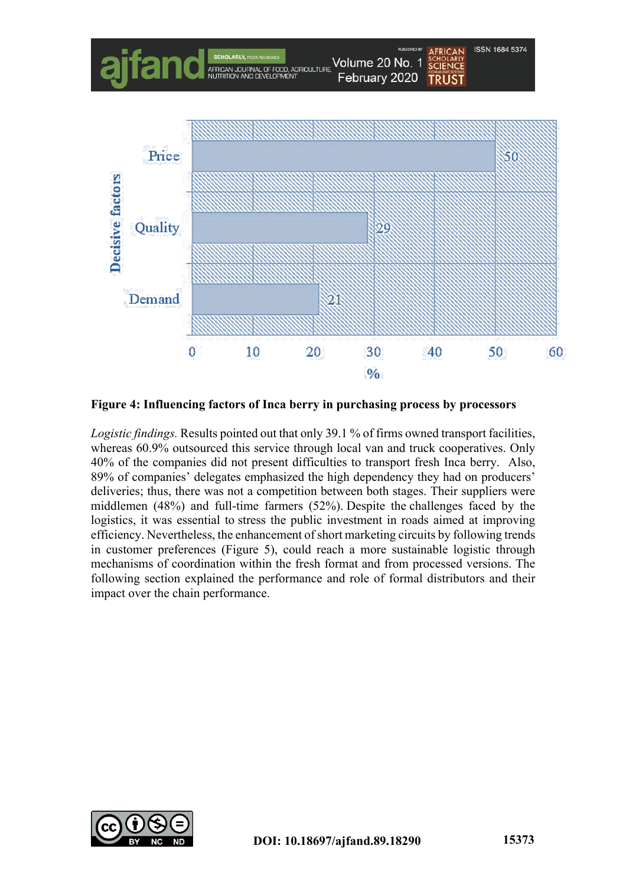

**Figure 4: Influencing factors of Inca berry in purchasing process by processors**

*Logistic findings.* Results pointed out that only 39.1 % of firms owned transport facilities, whereas 60.9% outsourced this service through local van and truck cooperatives. Only 40% of the companies did not present difficulties to transport fresh Inca berry. Also, 89% of companies' delegates emphasized the high dependency they had on producers' deliveries; thus, there was not a competition between both stages. Their suppliers were middlemen (48%) and full-time farmers (52%). Despite the challenges faced by the logistics, it was essential to stress the public investment in roads aimed at improving efficiency. Nevertheless, the enhancement of short marketing circuits by following trends in customer preferences (Figure 5), could reach a more sustainable logistic through mechanisms of coordination within the fresh format and from processed versions. The following section explained the performance and role of formal distributors and their impact over the chain performance.

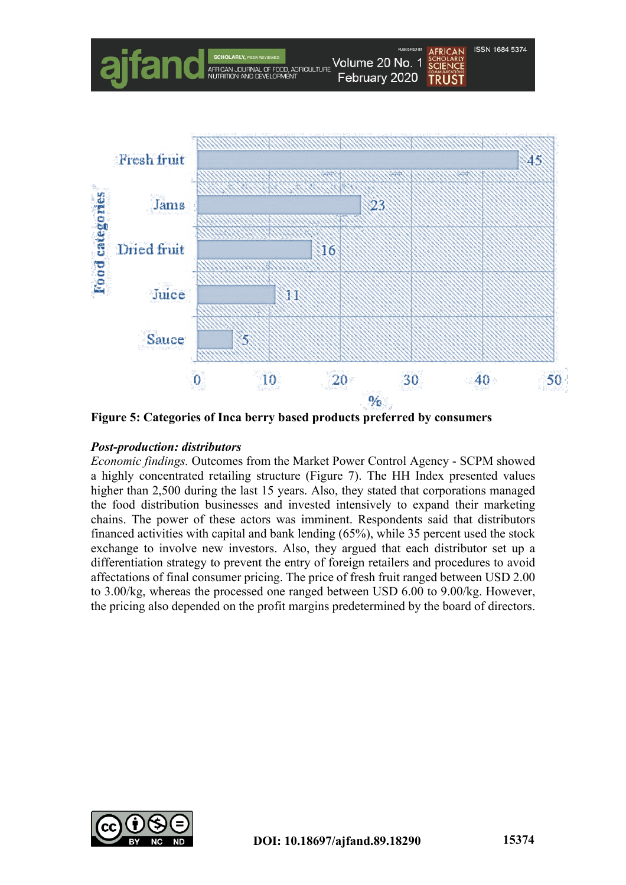

**Figure 5: Categories of Inca berry based products preferred by consumers**

### *Post-production: distributors*

*Economic findings.* Outcomes from the Market Power Control Agency - SCPM showed a highly concentrated retailing structure (Figure 7). The HH Index presented values higher than 2,500 during the last 15 years. Also, they stated that corporations managed the food distribution businesses and invested intensively to expand their marketing chains. The power of these actors was imminent. Respondents said that distributors financed activities with capital and bank lending (65%), while 35 percent used the stock exchange to involve new investors. Also, they argued that each distributor set up a differentiation strategy to prevent the entry of foreign retailers and procedures to avoid affectations of final consumer pricing. The price of fresh fruit ranged between USD 2.00 to 3.00/kg, whereas the processed one ranged between USD 6.00 to 9.00/kg. However, the pricing also depended on the profit margins predetermined by the board of directors.

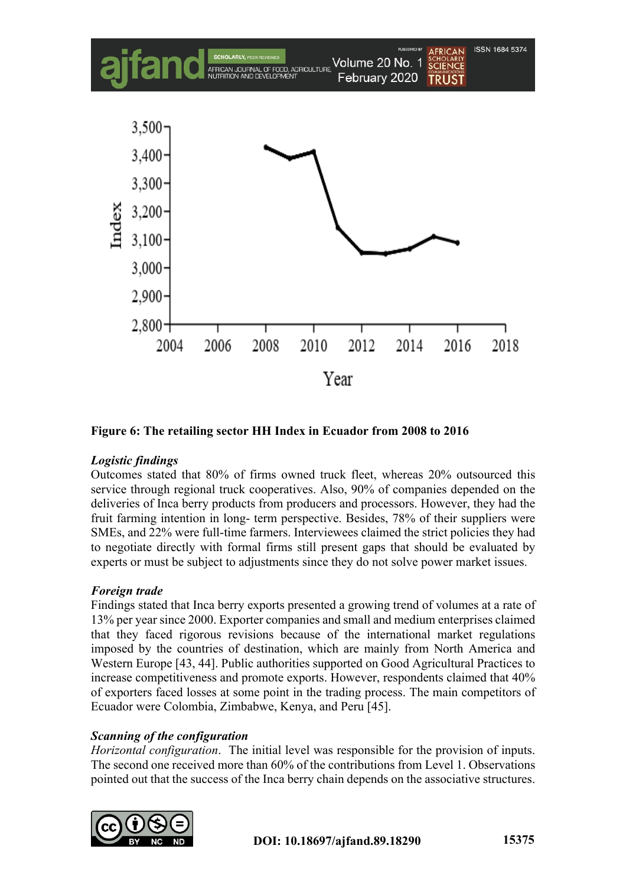

**Figure 6: The retailing sector HH Index in Ecuador from 2008 to 2016**

## *Logistic findings*

Outcomes stated that 80% of firms owned truck fleet, whereas 20% outsourced this service through regional truck cooperatives. Also, 90% of companies depended on the deliveries of Inca berry products from producers and processors. However, they had the fruit farming intention in long- term perspective. Besides, 78% of their suppliers were SMEs, and 22% were full-time farmers. Interviewees claimed the strict policies they had to negotiate directly with formal firms still present gaps that should be evaluated by experts or must be subject to adjustments since they do not solve power market issues.

### *Foreign trade*

Findings stated that Inca berry exports presented a growing trend of volumes at a rate of 13% per year since 2000. Exporter companies and small and medium enterprises claimed that they faced rigorous revisions because of the international market regulations imposed by the countries of destination, which are mainly from North America and Western Europe [43, 44]. Public authorities supported on Good Agricultural Practices to increase competitiveness and promote exports. However, respondents claimed that 40% of exporters faced losses at some point in the trading process. The main competitors of Ecuador were Colombia, Zimbabwe, Kenya, and Peru [45].

## *Scanning of the configuration*

*Horizontal configuration*. The initial level was responsible for the provision of inputs. The second one received more than 60% of the contributions from Level 1. Observations pointed out that the success of the Inca berry chain depends on the associative structures.

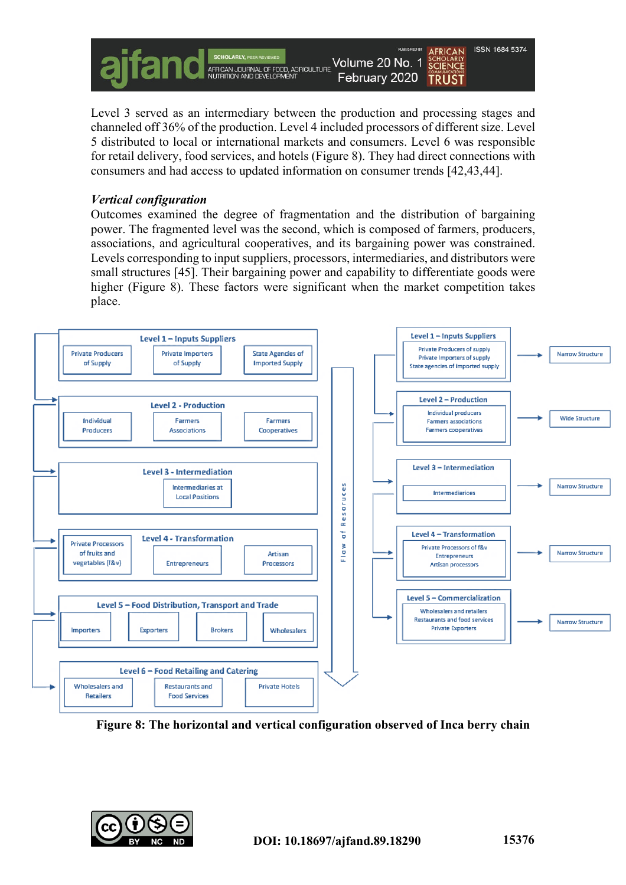

Level 3 served as an intermediary between the production and processing stages and channeled off 36% of the production. Level 4 included processors of different size. Level 5 distributed to local or international markets and consumers. Level 6 was responsible for retail delivery, food services, and hotels (Figure 8). They had direct connections with consumers and had access to updated information on consumer trends [42,43,44].

### *Vertical configuration*

Outcomes examined the degree of fragmentation and the distribution of bargaining power. The fragmented level was the second, which is composed of farmers, producers, associations, and agricultural cooperatives, and its bargaining power was constrained. Levels corresponding to input suppliers, processors, intermediaries, and distributors were small structures [45]. Their bargaining power and capability to differentiate goods were higher (Figure 8). These factors were significant when the market competition takes place.



**Figure 8: The horizontal and vertical configuration observed of Inca berry chain**

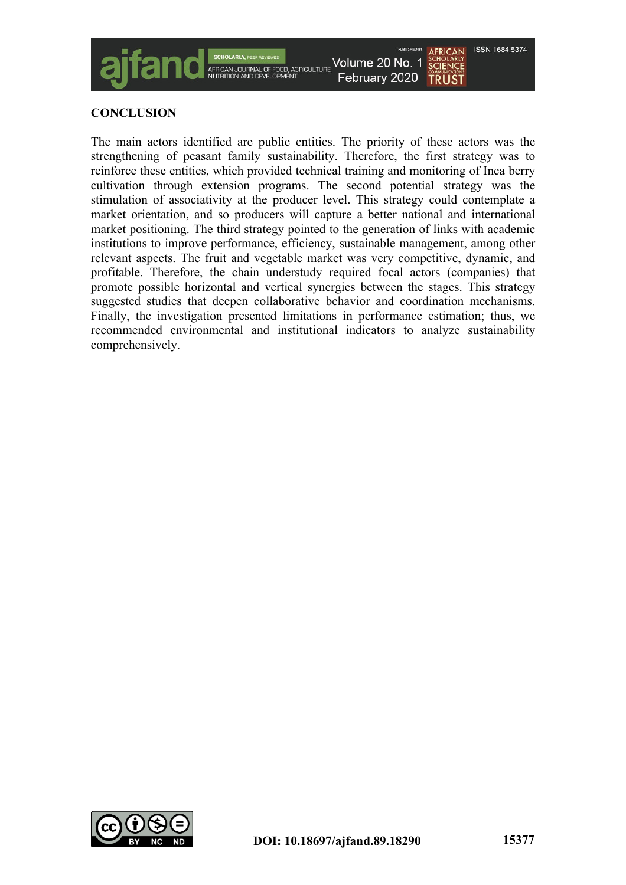

### **CONCLUSION**

The main actors identified are public entities. The priority of these actors was the strengthening of peasant family sustainability. Therefore, the first strategy was to reinforce these entities, which provided technical training and monitoring of Inca berry cultivation through extension programs. The second potential strategy was the stimulation of associativity at the producer level. This strategy could contemplate a market orientation, and so producers will capture a better national and international market positioning. The third strategy pointed to the generation of links with academic institutions to improve performance, efficiency, sustainable management, among other relevant aspects. The fruit and vegetable market was very competitive, dynamic, and profitable. Therefore, the chain understudy required focal actors (companies) that promote possible horizontal and vertical synergies between the stages. This strategy suggested studies that deepen collaborative behavior and coordination mechanisms. Finally, the investigation presented limitations in performance estimation; thus, we recommended environmental and institutional indicators to analyze sustainability comprehensively.

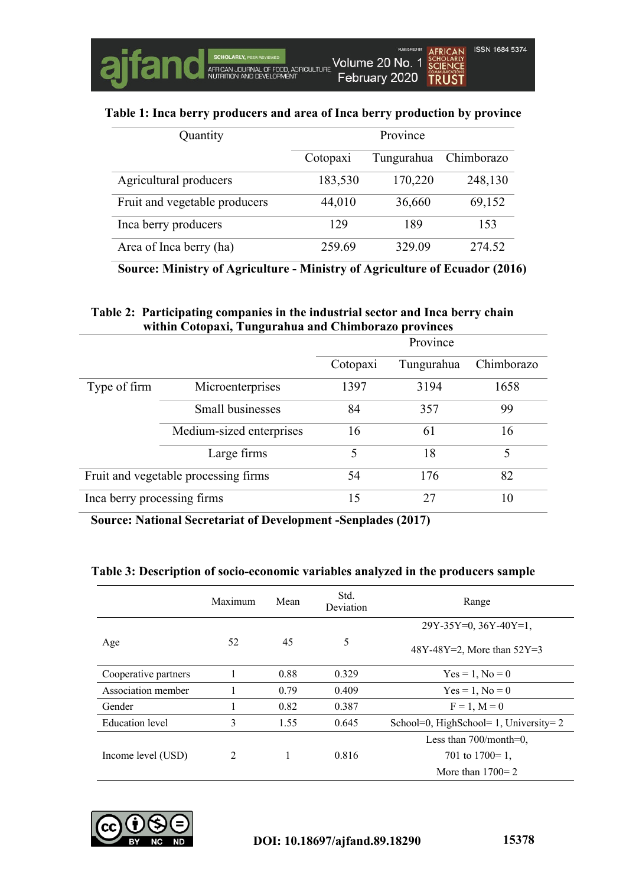#### **Table 1: Inca berry producers and area of Inca berry production by province**

| Quantity                      | Province |            |            |
|-------------------------------|----------|------------|------------|
|                               | Cotopaxi | Tungurahua | Chimborazo |
| Agricultural producers        | 183,530  | 170,220    | 248,130    |
| Fruit and vegetable producers | 44,010   | 36,660     | 69,152     |
| Inca berry producers          | 129      | 189        | 153        |
| Area of Inca berry (ha)       | 259.69   | 329.09     | 274.52     |

**Source: Ministry of Agriculture - Ministry of Agriculture of Ecuador (2016)**

### **Table 2: Participating companies in the industrial sector and Inca berry chain within Cotopaxi, Tungurahua and Chimborazo provinces**

|                                      |                          | Province |            |            |
|--------------------------------------|--------------------------|----------|------------|------------|
|                                      |                          | Cotopaxi | Tungurahua | Chimborazo |
| Type of firm                         | Microenterprises         | 1397     | 3194       | 1658       |
|                                      | Small businesses         | 84       | 357        | 99         |
|                                      | Medium-sized enterprises | 16       | 61         | 16         |
|                                      | Large firms              | 5        | 18         | 5          |
| Fruit and vegetable processing firms |                          | 54       | 176        | 82         |
| Inca berry processing firms          |                          | 15       | 27         | 10         |

**Source: National Secretariat of Development -Senplades (2017)**

#### **Table 3: Description of socio-economic variables analyzed in the producers sample**

|                      | Maximum       | Mean | Std.<br>Deviation | Range                                |
|----------------------|---------------|------|-------------------|--------------------------------------|
|                      |               |      |                   | $29Y-35Y=0, 36Y-40Y=1,$              |
| Age                  | 52            | 45   | 5                 | 48Y-48Y=2, More than $52Y=3$         |
| Cooperative partners |               | 0.88 | 0.329             | $Yes = 1, No = 0$                    |
| Association member   |               | 0.79 | 0.409             | $Yes = 1, No = 0$                    |
| Gender               |               | 0.82 | 0.387             | $F = 1, M = 0$                       |
| Education level      | 3             | 1.55 | 0.645             | School=0, HighSchool=1, University=2 |
|                      |               |      |                   | Less than $700$ /month=0,            |
| Income level (USD)   | $\mathcal{L}$ |      | 0.816             | 701 to $1700=1$ ,                    |
|                      |               |      |                   | More than $1700=2$                   |

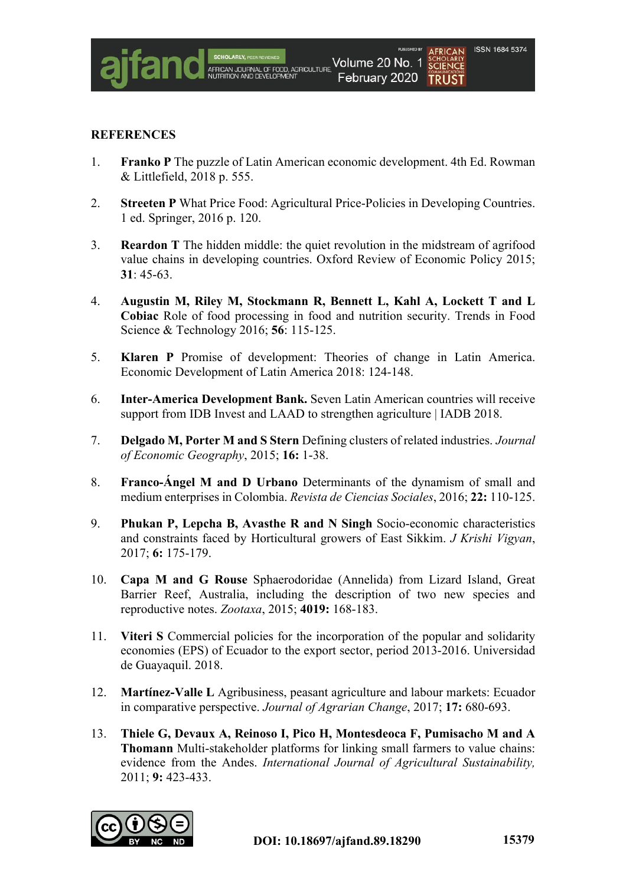#### **REFERENCES**

- 1. **Franko P** The puzzle of Latin American economic development. 4th Ed. Rowman & Littlefield, 2018 p. 555.
- 2. **Streeten P** What Price Food: Agricultural Price-Policies in Developing Countries. 1 ed. Springer, 2016 p. 120.
- 3. **Reardon T** The hidden middle: the quiet revolution in the midstream of agrifood value chains in developing countries. Oxford Review of Economic Policy 2015; **31**: 45-63.
- 4. **Augustin M, Riley M, Stockmann R, Bennett L, Kahl A, Lockett T and L Cobiac** Role of food processing in food and nutrition security. Trends in Food Science & Technology 2016; **56**: 115-125.
- 5. **Klaren P** Promise of development: Theories of change in Latin America. Economic Development of Latin America 2018: 124-148.
- 6. **Inter-America Development Bank.** Seven Latin American countries will receive support from IDB Invest and LAAD to strengthen agriculture | IADB 2018.
- 7. **Delgado M, Porter M and S Stern** Defining clusters of related industries. *Journal of Economic Geography*, 2015; **16:** 1-38.
- 8. **Franco-Ángel M and D Urbano** Determinants of the dynamism of small and medium enterprises in Colombia. *Revista de Ciencias Sociales*, 2016; **22:** 110-125.
- 9. **Phukan P, Lepcha B, Avasthe R and N Singh** Socio-economic characteristics and constraints faced by Horticultural growers of East Sikkim. *J Krishi Vigyan*, 2017; **6:** 175-179.
- 10. **Capa M and G Rouse** Sphaerodoridae (Annelida) from Lizard Island, Great Barrier Reef, Australia, including the description of two new species and reproductive notes. *Zootaxa*, 2015; **4019:** 168-183.
- 11. **Viteri S** Commercial policies for the incorporation of the popular and solidarity economies (EPS) of Ecuador to the export sector, period 2013-2016. Universidad de Guayaquil. 2018.
- 12. **Martínez-Valle L** Agribusiness, peasant agriculture and labour markets: Ecuador in comparative perspective. *Journal of Agrarian Change*, 2017; **17:** 680-693.
- 13. **Thiele G, Devaux A, Reinoso I, Pico H, Montesdeoca F, Pumisacho M and A Thomann** Multi-stakeholder platforms for linking small farmers to value chains: evidence from the Andes. *International Journal of Agricultural Sustainability,* 2011; **9:** 423-433.

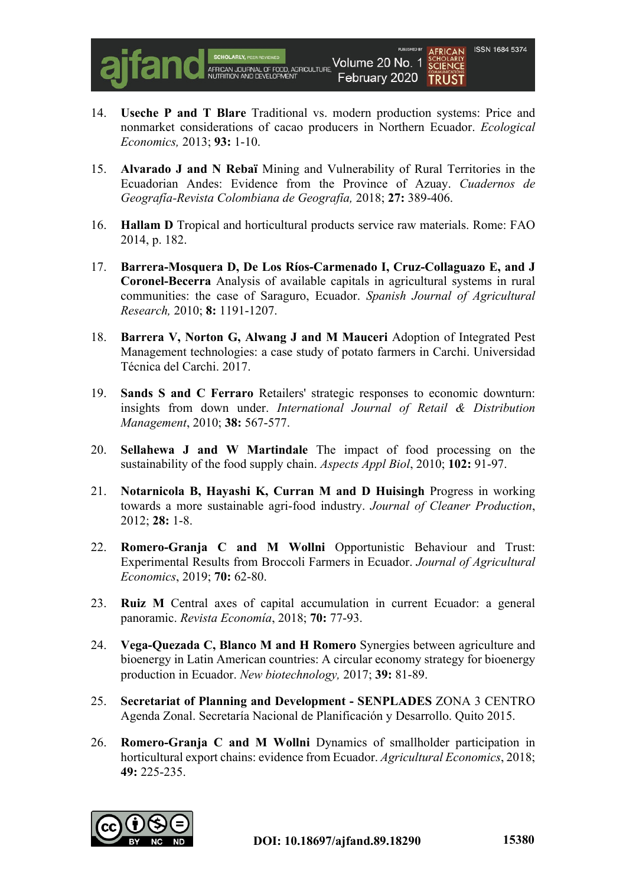

- 14. **Useche P and T Blare** Traditional vs. modern production systems: Price and nonmarket considerations of cacao producers in Northern Ecuador. *Ecological Economics,* 2013; **93:** 1-10.
- 15. **Alvarado J and N Rebaï** Mining and Vulnerability of Rural Territories in the Ecuadorian Andes: Evidence from the Province of Azuay. *Cuadernos de Geografía-Revista Colombiana de Geografía,* 2018; **27:** 389-406.
- 16. **Hallam D** Tropical and horticultural products service raw materials. Rome: FAO 2014, p. 182.
- 17. **Barrera-Mosquera D, De Los Ríos-Carmenado I, Cruz-Collaguazo E, and J Coronel-Becerra** Analysis of available capitals in agricultural systems in rural communities: the case of Saraguro, Ecuador. *Spanish Journal of Agricultural Research,* 2010; **8:** 1191-1207.
- 18. **Barrera V, Norton G, Alwang J and M Mauceri** Adoption of Integrated Pest Management technologies: a case study of potato farmers in Carchi. Universidad Técnica del Carchi. 2017.
- 19. **Sands S and C Ferraro** Retailers' strategic responses to economic downturn: insights from down under. *International Journal of Retail & Distribution Management*, 2010; **38:** 567-577.
- 20. **Sellahewa J and W Martindale** The impact of food processing on the sustainability of the food supply chain. *Aspects Appl Biol*, 2010; **102:** 91-97.
- 21. **Notarnicola B, Hayashi K, Curran M and D Huisingh** Progress in working towards a more sustainable agri-food industry. *Journal of Cleaner Production*, 2012; **28:** 1-8.
- 22. **Romero-Granja C and M Wollni** Opportunistic Behaviour and Trust: Experimental Results from Broccoli Farmers in Ecuador. *Journal of Agricultural Economics*, 2019; **70:** 62-80.
- 23. **Ruiz M** Central axes of capital accumulation in current Ecuador: a general panoramic. *Revista Economía*, 2018; **70:** 77-93.
- 24. **Vega-Quezada C, Blanco M and H Romero** Synergies between agriculture and bioenergy in Latin American countries: A circular economy strategy for bioenergy production in Ecuador. *New biotechnology,* 2017; **39:** 81-89.
- 25. **Secretariat of Planning and Development - SENPLADES** ZONA 3 CENTRO Agenda Zonal. Secretaría Nacional de Planificación y Desarrollo. Quito 2015.
- 26. **Romero-Granja C and M Wollni** Dynamics of smallholder participation in horticultural export chains: evidence from Ecuador. *Agricultural Economics*, 2018; **49:** 225-235.

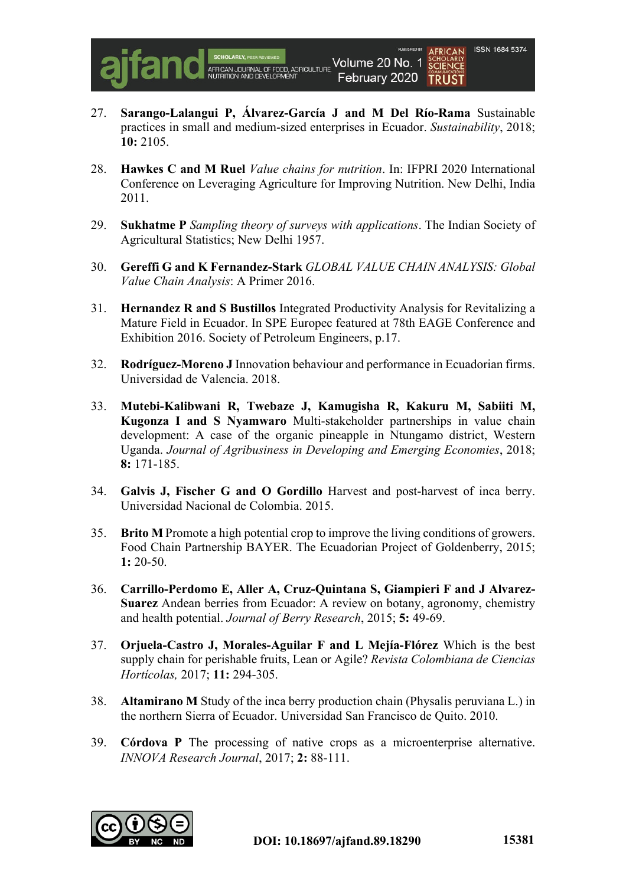

- 27. **Sarango-Lalangui P, Álvarez-García J and M Del Río-Rama** Sustainable practices in small and medium-sized enterprises in Ecuador. *Sustainability*, 2018; **10:** 2105.
- 28. **Hawkes C and M Ruel** *Value chains for nutrition*. In: IFPRI 2020 International Conference on Leveraging Agriculture for Improving Nutrition. New Delhi, India 2011.
- 29. **Sukhatme P** *Sampling theory of surveys with applications*. The Indian Society of Agricultural Statistics; New Delhi 1957.
- 30. **Gereffi G and K Fernandez-Stark** *GLOBAL VALUE CHAIN ANALYSIS: Global Value Chain Analysis*: A Primer 2016.
- 31. **Hernandez R and S Bustillos** Integrated Productivity Analysis for Revitalizing a Mature Field in Ecuador. In SPE Europec featured at 78th EAGE Conference and Exhibition 2016. Society of Petroleum Engineers, p.17.
- 32. **Rodríguez-Moreno J** Innovation behaviour and performance in Ecuadorian firms. Universidad de Valencia. 2018.
- 33. **Mutebi-Kalibwani R, Twebaze J, Kamugisha R, Kakuru M, Sabiiti M, Kugonza I and S Nyamwaro** Multi-stakeholder partnerships in value chain development: A case of the organic pineapple in Ntungamo district, Western Uganda. *Journal of Agribusiness in Developing and Emerging Economies*, 2018; **8:** 171-185.
- 34. **Galvis J, Fischer G and O Gordillo** Harvest and post-harvest of inca berry. Universidad Nacional de Colombia. 2015.
- 35. **Brito M** Promote a high potential crop to improve the living conditions of growers. Food Chain Partnership BAYER. The Ecuadorian Project of Goldenberry, 2015; **1:** 20-50.
- 36. **Carrillo-Perdomo E, Aller A, Cruz-Quintana S, Giampieri F and J Alvarez-Suarez** Andean berries from Ecuador: A review on botany, agronomy, chemistry and health potential. *Journal of Berry Research*, 2015; **5:** 49-69.
- 37. **Orjuela-Castro J, Morales-Aguilar F and L Mejía-Flórez** Which is the best supply chain for perishable fruits, Lean or Agile? *Revista Colombiana de Ciencias Hortícolas,* 2017; **11:** 294-305.
- 38. **Altamirano M** Study of the inca berry production chain (Physalis peruviana L.) in the northern Sierra of Ecuador. Universidad San Francisco de Quito. 2010.
- 39. **Córdova P** The processing of native crops as a microenterprise alternative. *INNOVA Research Journal*, 2017; **2:** 88-111.